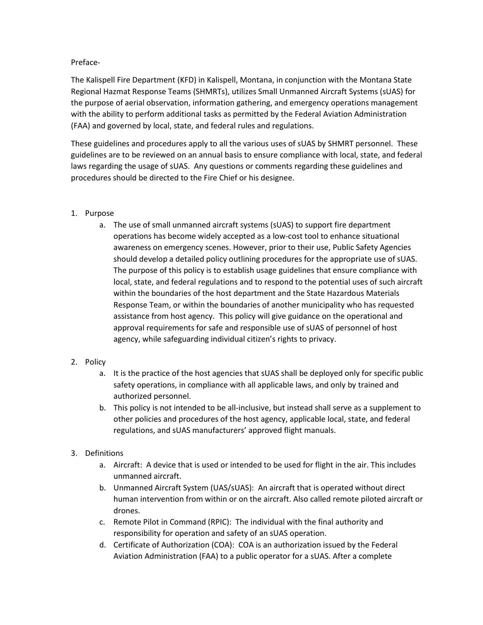#### Preface-

The Kalispell Fire Department (KFD) in Kalispell, Montana, in conjunction with the Montana State Regional Hazmat Response Teams (SHMRTs), utilizes Small Unmanned Aircraft Systems (sUAS) for the purpose of aerial observation, information gathering, and emergency operations management with the ability to perform additional tasks as permitted by the Federal Aviation Administration (FAA) and governed by local, state, and federal rules and regulations.

These guidelines and procedures apply to all the various uses of sUAS by SHMRT personnel. These guidelines are to be reviewed on an annual basis to ensure compliance with local, state, and federal laws regarding the usage of sUAS. Any questions or comments regarding these guidelines and procedures should be directed to the Fire Chief or his designee.

# 1. Purpose

a. The use of small unmanned aircraft systems (sUAS) to support fire department operations has become widely accepted as a low-cost tool to enhance situational awareness on emergency scenes. However, prior to their use, Public Safety Agencies should develop a detailed policy outlining procedures for the appropriate use of sUAS. The purpose of this policy is to establish usage guidelines that ensure compliance with local, state, and federal regulations and to respond to the potential uses of such aircraft within the boundaries of the host department and the State Hazardous Materials Response Team, or within the boundaries of another municipality who has requested assistance from host agency. This policy will give guidance on the operational and approval requirements for safe and responsible use of sUAS of personnel of host agency, while safeguarding individual citizen's rights to privacy.

# 2. Policy

- a. It is the practice of the host agencies that sUAS shall be deployed only for specific public safety operations, in compliance with all applicable laws, and only by trained and authorized personnel.
- b. This policy is not intended to be all-inclusive, but instead shall serve as a supplement to other policies and procedures of the host agency, applicable local, state, and federal regulations, and sUAS manufacturers' approved flight manuals.

# 3. Definitions

- a. Aircraft: A device that is used or intended to be used for flight in the air. This includes unmanned aircraft.
- b. Unmanned Aircraft System (UAS/sUAS): An aircraft that is operated without direct human intervention from within or on the aircraft. Also called remote piloted aircraft or drones.
- c. Remote Pilot in Command (RPIC): The individual with the final authority and responsibility for operation and safety of an sUAS operation.
- d. Certificate of Authorization (COA): COA is an authorization issued by the Federal Aviation Administration (FAA) to a public operator for a sUAS. After a complete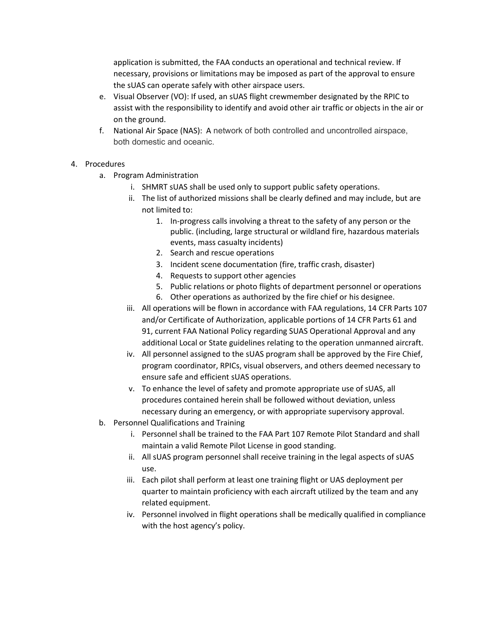application is submitted, the FAA conducts an operational and technical review. If necessary, provisions or limitations may be imposed as part of the approval to ensure the sUAS can operate safely with other airspace users.

- e. Visual Observer (VO): If used, an sUAS flight crewmember designated by the RPIC to assist with the responsibility to identify and avoid other air traffic or objects in the air or on the ground.
- f. National Air Space (NAS): A network of both controlled and uncontrolled airspace, both domestic and oceanic.

# 4. Procedures

- a. Program Administration
	- i. SHMRT sUAS shall be used only to support public safety operations.
	- ii. The list of authorized missions shall be clearly defined and may include, but are not limited to:
		- 1. In-progress calls involving a threat to the safety of any person or the public. (including, large structural or wildland fire, hazardous materials events, mass casualty incidents)
		- 2. Search and rescue operations
		- 3. Incident scene documentation (fire, traffic crash, disaster)
		- 4. Requests to support other agencies
		- 5. Public relations or photo flights of department personnel or operations
		- 6. Other operations as authorized by the fire chief or his designee.
	- iii. All operations will be flown in accordance with FAA regulations, 14 CFR Parts 107 and/or Certificate of Authorization, applicable portions of 14 CFR Parts 61 and 91, current FAA National Policy regarding SUAS Operational Approval and any additional Local or State guidelines relating to the operation unmanned aircraft.
	- iv. All personnel assigned to the sUAS program shall be approved by the Fire Chief, program coordinator, RPICs, visual observers, and others deemed necessary to ensure safe and efficient sUAS operations.
	- v. To enhance the level of safety and promote appropriate use of sUAS, all procedures contained herein shall be followed without deviation, unless necessary during an emergency, or with appropriate supervisory approval.
- b. Personnel Qualifications and Training
	- i. Personnel shall be trained to the FAA Part 107 Remote Pilot Standard and shall maintain a valid Remote Pilot License in good standing.
	- ii. All sUAS program personnel shall receive training in the legal aspects of sUAS use.
	- iii. Each pilot shall perform at least one training flight or UAS deployment per quarter to maintain proficiency with each aircraft utilized by the team and any related equipment.
	- iv. Personnel involved in flight operations shall be medically qualified in compliance with the host agency's policy.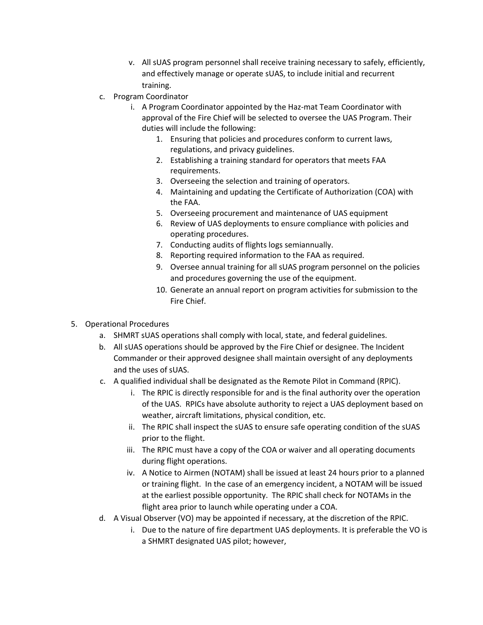- v. All sUAS program personnel shall receive training necessary to safely, efficiently, and effectively manage or operate sUAS, to include initial and recurrent training.
- c. Program Coordinator
	- i. A Program Coordinator appointed by the Haz-mat Team Coordinator with approval of the Fire Chief will be selected to oversee the UAS Program. Their duties will include the following:
		- 1. Ensuring that policies and procedures conform to current laws, regulations, and privacy guidelines.
		- 2. Establishing a training standard for operators that meets FAA requirements.
		- 3. Overseeing the selection and training of operators.
		- 4. Maintaining and updating the Certificate of Authorization (COA) with the FAA.
		- 5. Overseeing procurement and maintenance of UAS equipment
		- 6. Review of UAS deployments to ensure compliance with policies and operating procedures.
		- 7. Conducting audits of flights logs semiannually.
		- 8. Reporting required information to the FAA as required.
		- 9. Oversee annual training for all sUAS program personnel on the policies and procedures governing the use of the equipment.
		- 10. Generate an annual report on program activities for submission to the Fire Chief.
- 5. Operational Procedures
	- a. SHMRT sUAS operations shall comply with local, state, and federal guidelines.
	- b. All sUAS operations should be approved by the Fire Chief or designee. The Incident Commander or their approved designee shall maintain oversight of any deployments and the uses of sUAS.
	- c. A qualified individual shall be designated as the Remote Pilot in Command (RPIC).
		- i. The RPIC is directly responsible for and is the final authority over the operation of the UAS. RPICs have absolute authority to reject a UAS deployment based on weather, aircraft limitations, physical condition, etc.
		- ii. The RPIC shall inspect the sUAS to ensure safe operating condition of the sUAS prior to the flight.
		- iii. The RPIC must have a copy of the COA or waiver and all operating documents during flight operations.
		- iv. A Notice to Airmen (NOTAM) shall be issued at least 24 hours prior to a planned or training flight. In the case of an emergency incident, a NOTAM will be issued at the earliest possible opportunity. The RPIC shall check for NOTAMs in the flight area prior to launch while operating under a COA.
	- d. A Visual Observer (VO) may be appointed if necessary, at the discretion of the RPIC.
		- i. Due to the nature of fire department UAS deployments. It is preferable the VO is a SHMRT designated UAS pilot; however,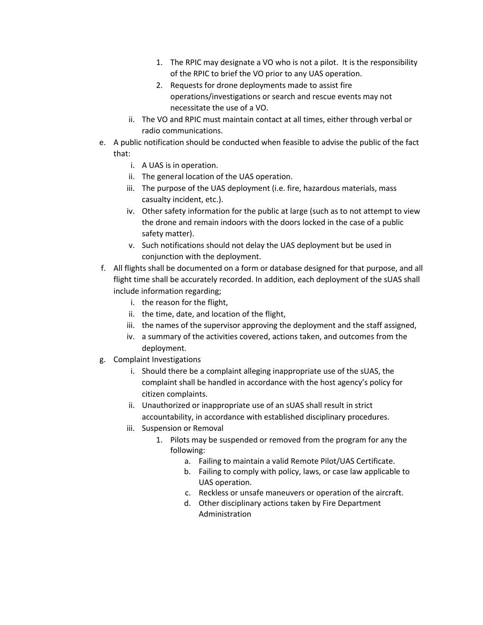- 1. The RPIC may designate a VO who is not a pilot. It is the responsibility of the RPIC to brief the VO prior to any UAS operation.
- 2. Requests for drone deployments made to assist fire operations/investigations or search and rescue events may not necessitate the use of a VO.
- ii. The VO and RPIC must maintain contact at all times, either through verbal or radio communications.
- e. A public notification should be conducted when feasible to advise the public of the fact that:
	- i. A UAS is in operation.
	- ii. The general location of the UAS operation.
	- iii. The purpose of the UAS deployment (i.e. fire, hazardous materials, mass casualty incident, etc.).
	- iv. Other safety information for the public at large (such as to not attempt to view the drone and remain indoors with the doors locked in the case of a public safety matter).
	- v. Such notifications should not delay the UAS deployment but be used in conjunction with the deployment.
- f. All flights shall be documented on a form or database designed for that purpose, and all flight time shall be accurately recorded. In addition, each deployment of the sUAS shall include information regarding;
	- i. the reason for the flight,
	- ii. the time, date, and location of the flight,
	- iii. the names of the supervisor approving the deployment and the staff assigned,
	- iv. a summary of the activities covered, actions taken, and outcomes from the deployment.
- g. Complaint Investigations
	- i. Should there be a complaint alleging inappropriate use of the sUAS, the complaint shall be handled in accordance with the host agency's policy for citizen complaints.
	- ii. Unauthorized or inappropriate use of an sUAS shall result in strict accountability, in accordance with established disciplinary procedures.
	- iii. Suspension or Removal
		- 1. Pilots may be suspended or removed from the program for any the following:
			- a. Failing to maintain a valid Remote Pilot/UAS Certificate.
			- b. Failing to comply with policy, laws, or case law applicable to UAS operation.
			- c. Reckless or unsafe maneuvers or operation of the aircraft.
			- d. Other disciplinary actions taken by Fire Department Administration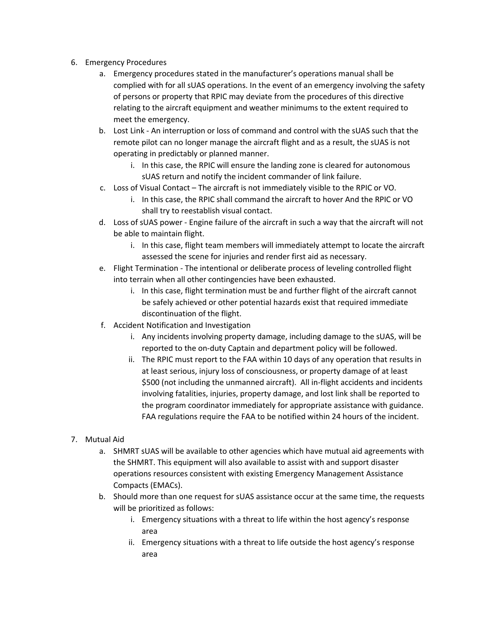- 6. Emergency Procedures
	- a. Emergency procedures stated in the manufacturer's operations manual shall be complied with for all sUAS operations. In the event of an emergency involving the safety of persons or property that RPIC may deviate from the procedures of this directive relating to the aircraft equipment and weather minimums to the extent required to meet the emergency.
	- b. Lost Link An interruption or loss of command and control with the sUAS such that the remote pilot can no longer manage the aircraft flight and as a result, the sUAS is not operating in predictably or planned manner.
		- i. In this case, the RPIC will ensure the landing zone is cleared for autonomous sUAS return and notify the incident commander of link failure.
	- c. Loss of Visual Contact The aircraft is not immediately visible to the RPIC or VO.
		- i. In this case, the RPIC shall command the aircraft to hover And the RPIC or VO shall try to reestablish visual contact.
	- d. Loss of sUAS power Engine failure of the aircraft in such a way that the aircraft will not be able to maintain flight.
		- i. In this case, flight team members will immediately attempt to locate the aircraft assessed the scene for injuries and render first aid as necessary.
	- e. Flight Termination The intentional or deliberate process of leveling controlled flight into terrain when all other contingencies have been exhausted.
		- i. In this case, flight termination must be and further flight of the aircraft cannot be safely achieved or other potential hazards exist that required immediate discontinuation of the flight.
	- f. Accident Notification and Investigation
		- i. Any incidents involving property damage, including damage to the sUAS, will be reported to the on-duty Captain and department policy will be followed.
		- ii. The RPIC must report to the FAA within 10 days of any operation that results in at least serious, injury loss of consciousness, or property damage of at least \$500 (not including the unmanned aircraft). All in-flight accidents and incidents involving fatalities, injuries, property damage, and lost link shall be reported to the program coordinator immediately for appropriate assistance with guidance. FAA regulations require the FAA to be notified within 24 hours of the incident.
- 7. Mutual Aid
	- a. SHMRT sUAS will be available to other agencies which have mutual aid agreements with the SHMRT. This equipment will also available to assist with and support disaster operations resources consistent with existing Emergency Management Assistance Compacts (EMACs).
	- b. Should more than one request for sUAS assistance occur at the same time, the requests will be prioritized as follows:
		- i. Emergency situations with a threat to life within the host agency's response area
		- ii. Emergency situations with a threat to life outside the host agency's response area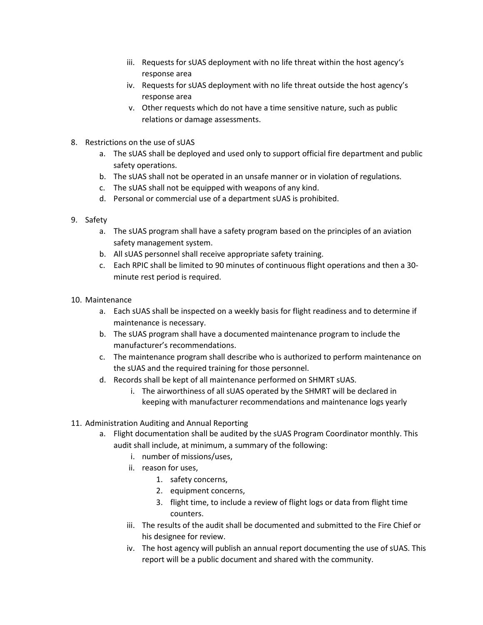- iii. Requests for sUAS deployment with no life threat within the host agency's response area
- iv. Requests for sUAS deployment with no life threat outside the host agency's response area
- v. Other requests which do not have a time sensitive nature, such as public relations or damage assessments.
- 8. Restrictions on the use of sUAS
	- a. The sUAS shall be deployed and used only to support official fire department and public safety operations.
	- b. The sUAS shall not be operated in an unsafe manner or in violation of regulations.
	- c. The sUAS shall not be equipped with weapons of any kind.
	- d. Personal or commercial use of a department sUAS is prohibited.
- 9. Safety
	- a. The sUAS program shall have a safety program based on the principles of an aviation safety management system.
	- b. All sUAS personnel shall receive appropriate safety training.
	- c. Each RPIC shall be limited to 90 minutes of continuous flight operations and then a 30 minute rest period is required.
- 10. Maintenance
	- a. Each sUAS shall be inspected on a weekly basis for flight readiness and to determine if maintenance is necessary.
	- b. The sUAS program shall have a documented maintenance program to include the manufacturer's recommendations.
	- c. The maintenance program shall describe who is authorized to perform maintenance on the sUAS and the required training for those personnel.
	- d. Records shall be kept of all maintenance performed on SHMRT sUAS.
		- i. The airworthiness of all sUAS operated by the SHMRT will be declared in keeping with manufacturer recommendations and maintenance logs yearly
- 11. Administration Auditing and Annual Reporting
	- a. Flight documentation shall be audited by the sUAS Program Coordinator monthly. This audit shall include, at minimum, a summary of the following:
		- i. number of missions/uses,
		- ii. reason for uses,
			- 1. safety concerns,
			- 2. equipment concerns,
			- 3. flight time, to include a review of flight logs or data from flight time counters.
		- iii. The results of the audit shall be documented and submitted to the Fire Chief or his designee for review.
		- iv. The host agency will publish an annual report documenting the use of sUAS. This report will be a public document and shared with the community.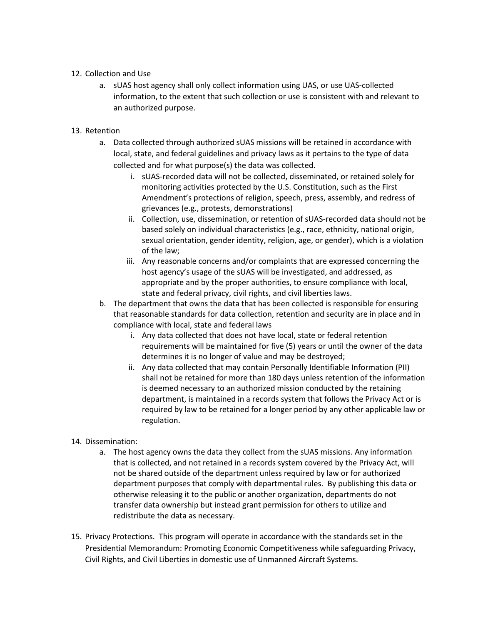#### 12. Collection and Use

a. sUAS host agency shall only collect information using UAS, or use UAS-collected information, to the extent that such collection or use is consistent with and relevant to an authorized purpose.

#### 13. Retention

- a. Data collected through authorized sUAS missions will be retained in accordance with local, state, and federal guidelines and privacy laws as it pertains to the type of data collected and for what purpose(s) the data was collected.
	- i. sUAS-recorded data will not be collected, disseminated, or retained solely for monitoring activities protected by the U.S. Constitution, such as the First Amendment's protections of religion, speech, press, assembly, and redress of grievances (e.g., protests, demonstrations)
	- ii. Collection, use, dissemination, or retention of sUAS-recorded data should not be based solely on individual characteristics (e.g., race, ethnicity, national origin, sexual orientation, gender identity, religion, age, or gender), which is a violation of the law;
	- iii. Any reasonable concerns and/or complaints that are expressed concerning the host agency's usage of the sUAS will be investigated, and addressed, as appropriate and by the proper authorities, to ensure compliance with local, state and federal privacy, civil rights, and civil liberties laws.
- b. The department that owns the data that has been collected is responsible for ensuring that reasonable standards for data collection, retention and security are in place and in compliance with local, state and federal laws
	- i. Any data collected that does not have local, state or federal retention requirements will be maintained for five (5) years or until the owner of the data determines it is no longer of value and may be destroyed;
	- ii. Any data collected that may contain Personally Identifiable Information (PII) shall not be retained for more than 180 days unless retention of the information is deemed necessary to an authorized mission conducted by the retaining department, is maintained in a records system that follows the Privacy Act or is required by law to be retained for a longer period by any other applicable law or regulation.

# 14. Dissemination:

- a. The host agency owns the data they collect from the sUAS missions. Any information that is collected, and not retained in a records system covered by the Privacy Act, will not be shared outside of the department unless required by law or for authorized department purposes that comply with departmental rules. By publishing this data or otherwise releasing it to the public or another organization, departments do not transfer data ownership but instead grant permission for others to utilize and redistribute the data as necessary.
- 15. Privacy Protections. This program will operate in accordance with the standards set in the Presidential Memorandum: Promoting Economic Competitiveness while safeguarding Privacy, Civil Rights, and Civil Liberties in domestic use of Unmanned Aircraft Systems.